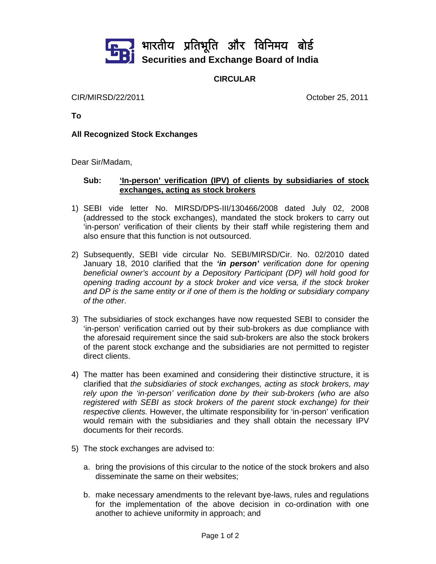

**CIRCULAR** 

CIR/MIRSD/22/2011 October 25, 2011

**To** 

## **All Recognized Stock Exchanges**

Dear Sir/Madam,

## **Sub: 'In-person' verification (IPV) of clients by subsidiaries of stock exchanges, acting as stock brokers**

- 1) SEBI vide letter No. MIRSD/DPS-III/130466/2008 dated July 02, 2008 (addressed to the stock exchanges), mandated the stock brokers to carry out 'in-person' verification of their clients by their staff while registering them and also ensure that this function is not outsourced.
- 2) Subsequently, SEBI vide circular No. SEBI/MIRSD/Cir. No. 02/2010 dated January 18, 2010 clarified that the *'in person' verification done for opening beneficial owner's account by a Depository Participant (DP) will hold good for opening trading account by a stock broker and vice versa, if the stock broker and DP is the same entity or if one of them is the holding or subsidiary company of the other*.
- 3) The subsidiaries of stock exchanges have now requested SEBI to consider the 'in-person' verification carried out by their sub-brokers as due compliance with the aforesaid requirement since the said sub-brokers are also the stock brokers of the parent stock exchange and the subsidiaries are not permitted to register direct clients.
- 4) The matter has been examined and considering their distinctive structure, it is clarified that *the subsidiaries of stock exchanges, acting as stock brokers, may rely upon the 'in-person' verification done by their sub-brokers (who are also registered with SEBI as stock brokers of the parent stock exchange) for their respective clients.* However, the ultimate responsibility for 'in-person' verification would remain with the subsidiaries and they shall obtain the necessary IPV documents for their records.
- 5) The stock exchanges are advised to:
	- a. bring the provisions of this circular to the notice of the stock brokers and also disseminate the same on their websites;
	- b. make necessary amendments to the relevant bye-laws, rules and regulations for the implementation of the above decision in co-ordination with one another to achieve uniformity in approach; and